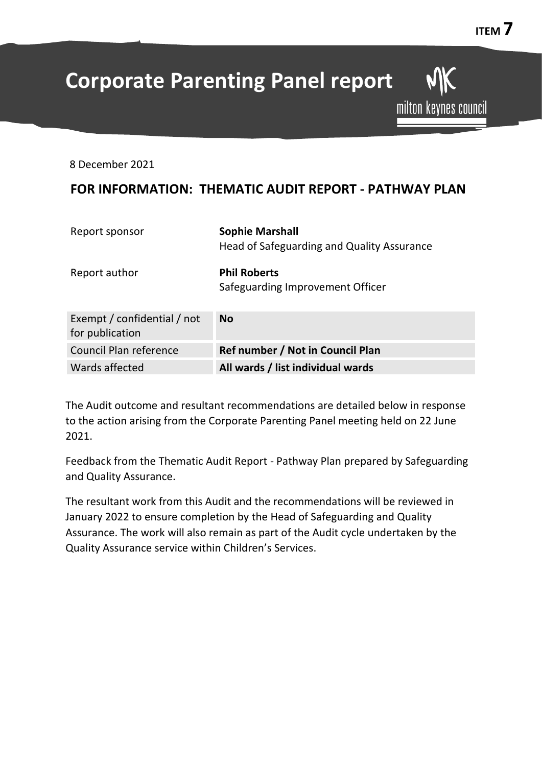# **Corporate Parenting Panel report**

8 December 2021

# **FOR INFORMATION: THEMATIC AUDIT REPORT - PATHWAY PLAN**

| Report sponsor                                 | <b>Sophie Marshall</b><br>Head of Safeguarding and Quality Assurance |
|------------------------------------------------|----------------------------------------------------------------------|
| Report author                                  | <b>Phil Roberts</b><br>Safeguarding Improvement Officer              |
| Exempt / confidential / not<br>for publication | <b>No</b>                                                            |
| Council Plan reference                         | Ref number / Not in Council Plan                                     |
| Wards affected                                 | All wards / list individual wards                                    |

The Audit outcome and resultant recommendations are detailed below in response to the action arising from the Corporate Parenting Panel meeting held on 22 June 2021.

Feedback from the Thematic Audit Report - Pathway Plan prepared by Safeguarding and Quality Assurance.

The resultant work from this Audit and the recommendations will be reviewed in January 2022 to ensure completion by the Head of Safeguarding and Quality Assurance. The work will also remain as part of the Audit cycle undertaken by the Quality Assurance service within Children's Services.

**MK** 

milton keynes council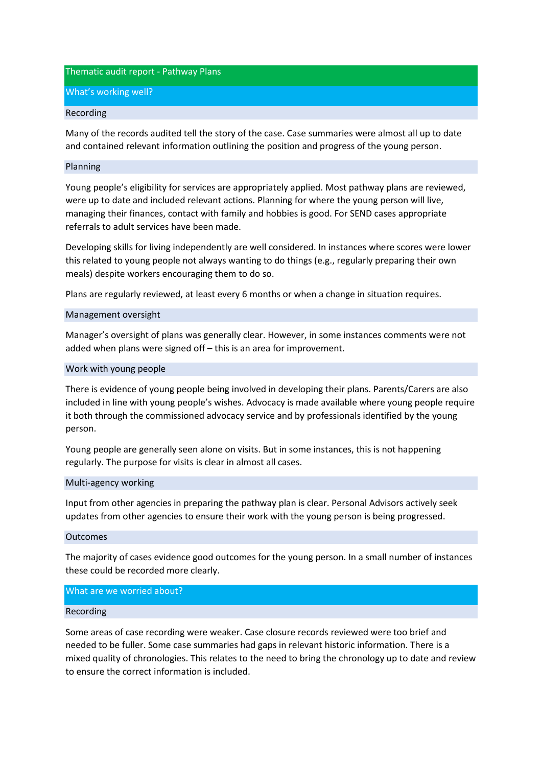Thematic audit report - Pathway Plans

What's working well?

# Recording

Many of the records audited tell the story of the case. Case summaries were almost all up to date and contained relevant information outlining the position and progress of the young person.

# Planning

Young people's eligibility for services are appropriately applied. Most pathway plans are reviewed, were up to date and included relevant actions. Planning for where the young person will live, managing their finances, contact with family and hobbies is good. For SEND cases appropriate referrals to adult services have been made.

Developing skills for living independently are well considered. In instances where scores were lower this related to young people not always wanting to do things (e.g., regularly preparing their own meals) despite workers encouraging them to do so.

Plans are regularly reviewed, at least every 6 months or when a change in situation requires.

# Management oversight

Manager's oversight of plans was generally clear. However, in some instances comments were not added when plans were signed off – this is an area for improvement.

# Work with young people

There is evidence of young people being involved in developing their plans. Parents/Carers are also included in line with young people's wishes. Advocacy is made available where young people require it both through the commissioned advocacy service and by professionals identified by the young person.

Young people are generally seen alone on visits. But in some instances, this is not happening regularly. The purpose for visits is clear in almost all cases.

# Multi-agency working

Input from other agencies in preparing the pathway plan is clear. Personal Advisors actively seek updates from other agencies to ensure their work with the young person is being progressed.

# Outcomes

The majority of cases evidence good outcomes for the young person. In a small number of instances these could be recorded more clearly.

# What are we worried about?

# Recording

Some areas of case recording were weaker. Case closure records reviewed were too brief and needed to be fuller. Some case summaries had gaps in relevant historic information. There is a mixed quality of chronologies. This relates to the need to bring the chronology up to date and review to ensure the correct information is included.